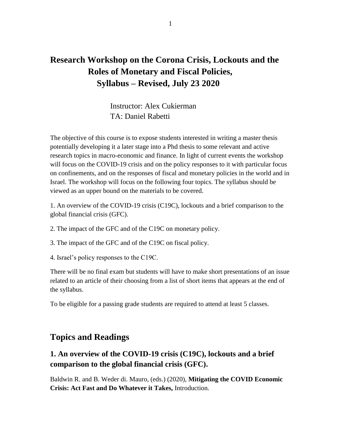# **Research Workshop on the Corona Crisis, Lockouts and the Roles of Monetary and Fiscal Policies, Syllabus – Revised, July 23 2020**

Instructor: Alex Cukierman TA: Daniel Rabetti

The objective of this course is to expose students interested in writing a master thesis potentially developing it a later stage into a Phd thesis to some relevant and active research topics in macro-economic and finance. In light of current events the workshop will focus on the COVID-19 crisis and on the policy responses to it with particular focus on confinements, and on the responses of fiscal and monetary policies in the world and in Israel. The workshop will focus on the following four topics. The syllabus should be viewed as an upper bound on the materials to be covered.

1. An overview of the COVID-19 crisis (C19C), lockouts and a brief comparison to the global financial crisis (GFC).

- 2. The impact of the GFC and of the C19C on monetary policy.
- 3. The impact of the GFC and of the C19C on fiscal policy.
- 4. Israel's policy responses to the C19C.

There will be no final exam but students will have to make short presentations of an issue related to an article of their choosing from a list of short items that appears at the end of the syllabus.

To be eligible for a passing grade students are required to attend at least 5 classes.

### **Topics and Readings**

#### **1. An overview of the COVID-19 crisis (C19C), lockouts and a brief comparison to the global financial crisis (GFC).**

Baldwin R. and B. Weder di. Mauro, (eds.) (2020), **Mitigating the COVID Economic Crisis: Act Fast and Do Whatever it Takes,** Introduction.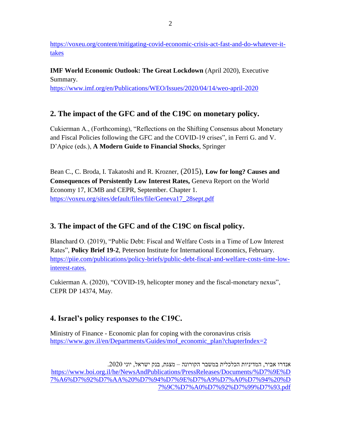[https://voxeu.org/content/mitigating-covid-economic-crisis-act-fast-and-do-whatever-it](https://voxeu.org/content/mitigating-covid-economic-crisis-act-fast-and-do-whatever-it-takes)[takes](https://voxeu.org/content/mitigating-covid-economic-crisis-act-fast-and-do-whatever-it-takes)

**IMF World Economic Outlook: The Great Lockdown** (April 2020), Executive Summary. <https://www.imf.org/en/Publications/WEO/Issues/2020/04/14/weo-april-2020>

### **2. The impact of the GFC and of the C19C on monetary policy.**

Cukierman A., (Forthcoming), "Reflections on the Shifting Consensus about Monetary and Fiscal Policies following the GFC and the COVID-19 crises", in Ferri G. and V. D'Apice (eds.), **A Modern Guide to Financial Shocks**, Springer

Bean C., C. Broda, I. Takatoshi and R. Krozner, (2015), **Low for long? Causes and Consequences of Persistently Low Interest Rates,** Geneva Report on the World Economy 17, ICMB and CEPR, September. Chapter 1. [https://voxeu.org/sites/default/files/file/Geneva17\\_28sept.pdf](https://voxeu.org/sites/default/files/file/Geneva17_28sept.pdf)

### **3. The impact of the GFC and of the C19C on fiscal policy.**

Blanchard O. (2019), "Public Debt: Fiscal and Welfare Costs in a Time of Low Interest Rates", **Policy Brief 19-2**, Peterson Institute for International Economics, February. [https://piie.com/publications/policy-briefs/public-debt-fiscal-and-welfare-costs-time-low](https://piie.com/publications/policy-briefs/public-debt-fiscal-and-welfare-costs-time-low-interest-rates)[interest-rates.](https://piie.com/publications/policy-briefs/public-debt-fiscal-and-welfare-costs-time-low-interest-rates)

Cukierman A. (2020), "COVID-19, helicopter money and the fiscal-monetary nexus", CEPR DP 14374, May.

### **4. Israel's policy responses to the C19C.**

Ministry of Finance - Economic plan for coping with the coronavirus crisis [https://www.gov.il/en/Departments/Guides/mof\\_economic\\_plan?chapterIndex=2](https://www.gov.il/en/Departments/Guides/mof_economic_plan?chapterIndex=2)

אנדרו אביר, המדיניות הכלכלית במשבר הקורונה – מצגת, בנק ישראל, יוני .2020 [https://www.boi.org.il/he/NewsAndPublications/PressReleases/Documents/%D7%9E%D](https://www.boi.org.il/he/NewsAndPublications/PressReleases/Documents/%D7%9E%D7%A6%D7%92%D7%AA%20%D7%94%D7%9E%D7%A9%D7%A0%D7%94%20%D7%9C%D7%A0%D7%92%D7%99%D7%93.pdf) [7%A6%D7%92%D7%AA%20%D7%94%D7%9E%D7%A9%D7%A0%D7%94%20%D](https://www.boi.org.il/he/NewsAndPublications/PressReleases/Documents/%D7%9E%D7%A6%D7%92%D7%AA%20%D7%94%D7%9E%D7%A9%D7%A0%D7%94%20%D7%9C%D7%A0%D7%92%D7%99%D7%93.pdf) [7%9C%D7%A0%D7%92%D7%99%D7%93.pdf](https://www.boi.org.il/he/NewsAndPublications/PressReleases/Documents/%D7%9E%D7%A6%D7%92%D7%AA%20%D7%94%D7%9E%D7%A9%D7%A0%D7%94%20%D7%9C%D7%A0%D7%92%D7%99%D7%93.pdf)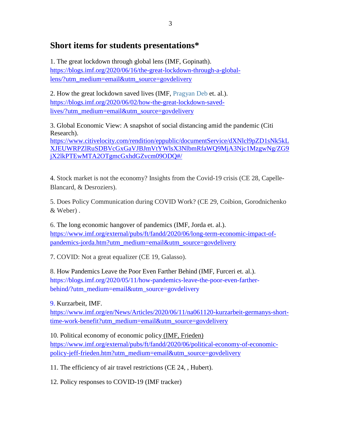## **Short items for students presentations\***

1. The great lockdown through global lens (IMF, Gopinath). [https://blogs.imf.org/2020/06/16/the-great-lockdown-through-a-global](https://blogs.imf.org/2020/06/16/the-great-lockdown-through-a-global-lens/?utm_medium=email&utm_source=govdelivery)[lens/?utm\\_medium=email&utm\\_source=govdelivery](https://blogs.imf.org/2020/06/16/the-great-lockdown-through-a-global-lens/?utm_medium=email&utm_source=govdelivery)

2. How the great lockdown saved lives (IMF, [Pragyan Deb](https://blogs.imf.org/bloggers/pragyan-deb/) et. al.). [https://blogs.imf.org/2020/06/02/how-the-great-lockdown-saved](https://blogs.imf.org/2020/06/02/how-the-great-lockdown-saved-lives/?utm_medium=email&utm_source=govdelivery)[lives/?utm\\_medium=email&utm\\_source=govdelivery](https://blogs.imf.org/2020/06/02/how-the-great-lockdown-saved-lives/?utm_medium=email&utm_source=govdelivery)

3. Global Economic View: A snapshot of social distancing amid the pandemic (Citi Research). [https://www.citivelocity.com/rendition/eppublic/documentService/dXNlcl9pZD1sNk5kL](https://www.citivelocity.com/rendition/eppublic/documentService/dXNlcl9pZD1sNk5kLXJEUWRPZlRuSDBVcGxGaVJBJmVtYWlsX3NlbmRfaWQ9MjA3Njc1MzgwNg/ZG9jX2lkPTEwMTA2OTgmcGxhdGZvcm09ODQ#/)

[XJEUWRPZlRuSDBVcGxGaVJBJmVtYWlsX3NlbmRfaWQ9MjA3Njc1MzgwNg/ZG9](https://www.citivelocity.com/rendition/eppublic/documentService/dXNlcl9pZD1sNk5kLXJEUWRPZlRuSDBVcGxGaVJBJmVtYWlsX3NlbmRfaWQ9MjA3Njc1MzgwNg/ZG9jX2lkPTEwMTA2OTgmcGxhdGZvcm09ODQ#/) [jX2lkPTEwMTA2OTgmcGxhdGZvcm09ODQ#/](https://www.citivelocity.com/rendition/eppublic/documentService/dXNlcl9pZD1sNk5kLXJEUWRPZlRuSDBVcGxGaVJBJmVtYWlsX3NlbmRfaWQ9MjA3Njc1MzgwNg/ZG9jX2lkPTEwMTA2OTgmcGxhdGZvcm09ODQ#/)

4. Stock market is not the economy? Insights from the Covid-19 crisis (CE 28, Capelle-Blancard, & Desroziers).

5. Does Policy Communication during COVID Work? (CE 29, Coibion, Gorodnichenko & Weber) .

6. The long economic hangover of pandemics (IMF, Jorda et. al.). [https://www.imf.org/external/pubs/ft/fandd/2020/06/long-term-economic-impact-of](https://www.imf.org/external/pubs/ft/fandd/2020/06/long-term-economic-impact-of-pandemics-jorda.htm?utm_medium=email&utm_source=govdelivery)[pandemics-jorda.htm?utm\\_medium=email&utm\\_source=govdelivery](https://www.imf.org/external/pubs/ft/fandd/2020/06/long-term-economic-impact-of-pandemics-jorda.htm?utm_medium=email&utm_source=govdelivery)

7. COVID: Not a great equalizer (CE 19, Galasso).

8. How Pandemics Leave the Poor Even Farther Behind (IMF, Furceri et. al.). [https://blogs.imf.org/2020/05/11/how-pandemics-leave-the-poor-even-farther](https://blogs.imf.org/2020/05/11/how-pandemics-leave-the-poor-even-farther-behind/?utm_medium=email&utm_source=govdelivery)[behind/?utm\\_medium=email&utm\\_source=govdelivery](https://blogs.imf.org/2020/05/11/how-pandemics-leave-the-poor-even-farther-behind/?utm_medium=email&utm_source=govdelivery)

9. Kurzarbeit, IMF.

[https://www.imf.org/en/News/Articles/2020/06/11/na061120-kurzarbeit-germanys-short](https://www.imf.org/en/News/Articles/2020/06/11/na061120-kurzarbeit-germanys-short-time-work-benefit?utm_medium=email&utm_source=govdelivery)[time-work-benefit?utm\\_medium=email&utm\\_source=govdelivery](https://www.imf.org/en/News/Articles/2020/06/11/na061120-kurzarbeit-germanys-short-time-work-benefit?utm_medium=email&utm_source=govdelivery)

10. Political economy of economic policy (IMF, Frieden) [https://www.imf.org/external/pubs/ft/fandd/2020/06/political-economy-of-economic](https://www.imf.org/external/pubs/ft/fandd/2020/06/political-economy-of-economic-policy-jeff-frieden.htm?utm_medium=email&utm_source=govdelivery)[policy-jeff-frieden.htm?utm\\_medium=email&utm\\_source=govdelivery](https://www.imf.org/external/pubs/ft/fandd/2020/06/political-economy-of-economic-policy-jeff-frieden.htm?utm_medium=email&utm_source=govdelivery)

11. The efficiency of air travel restrictions (CE 24, , Hubert).

12. Policy responses to COVID-19 (IMF tracker)